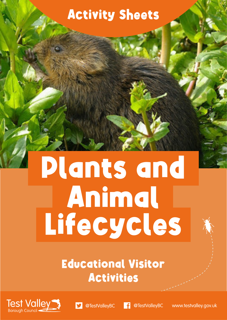### Activity Sheets

# Plants and Animal Lifecycles

### Educational Visitor Activities





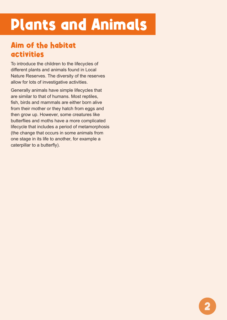# Plants and Animals

### Aim of the habitat activities

To introduce the children to the lifecycles of different plants and animals found in Local Nature Reserves. The diversity of the reserves allow for lots of investigative activities.

Generally animals have simple lifecycles that are similar to that of humans. Most reptiles, fish, birds and mammals are either born alive from their mother or they hatch from eggs and then grow up. However, some creatures like butterflies and moths have a more complicated lifecycle that includes a period of metamorphosis (the change that occurs in some animals from one stage in its life to another, for example a caterpillar to a butterfly).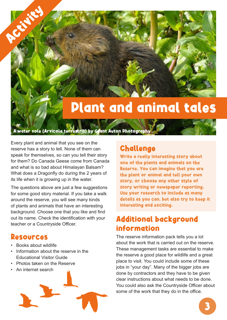### Plant and animal tales

A water vole (Arvicola terrestris) by Grant Auton Photography

Every plant and animal that you see on the reserve has a story to tell. None of them can speak for themselves, so can you tell their story for them? Do Canada Geese come from Canada and what is so bad about Himalayan Balsam? What does a Dragonfly do during the 2 years of its life when it is growing up in the water.

The questions above are just a few suggestions for some good story material. If you take a walk around the reserve, you will see many kinds of plants and animals that have an interesting background. Choose one that you like and find out its name. Check the identification with your teacher or a Countryside Officer.

#### Resources

**Activity** 

- Books about wildlife
- Information about the reserve in the Educational Visitor Guide
- Photos taken on the Reserve
- An internet search



#### Challenge

Write a really interesting story about one of the plants and animals on the Reserve. You can imagine that you are the plant or animal and tell your own story, or choose any other style of story writing or newspaper reporting. Use your research to include as many details as you can, but also try to keep it interesting and exciting.

### Additional background information

The reserve information pack tells you a lot about the work that is carried out on the reserve. These management tasks are essential to make the reserve a good place for wildlife and a great place to visit. You could include some of these jobs in "your day". Many of the bigger jobs are done by contractors and they have to be given clear instructions about what needs to be done. You could also ask the Countryside Officer about some of the work that they do in the office.

3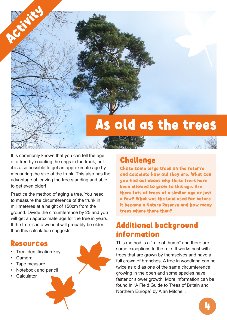# As old as the trees

It is commonly known that you can tell the age of a tree by counting the rings in the trunk, but it is also possible to get an approximate age by measuring the size of the trunk. This also has the advantage of leaving the tree standing and able to get even older!

Practice the method of aging a tree. You need to measure the circumference of the trunk in millimeteres at a height of 150cm from the ground. Divide the circumference by 25 and you will get an approximate age for the tree in years. If the tree is in a wood it will probably be older than this calculation suggests.

#### Resources

Scots pine

**Activity** 

- Tree identification key
- Camera
- Tape measure
- Notebook and pencil
- **Calculator**



### Challenge

Chose some large trees on the reserve and calculate how old they are. What can you find out about why these trees have been allowed to grow to this age. Are there lots of trees of a similar age or just a few? What was the land used for before it became a Nature Reserve and how many trees where there then?

春月

### Additional background information

This method is a "rule of thumb" and there are some exceptions to the rule. It works best with trees that are grown by themselves and have a full crown of branches. A tree in woodland can be twice as old as one of the same circumference growing in the open and some species have faster or slower growth. More information can be found in "A Field Guide to Trees of Britain and Northern Europe" by Alan Mitchell.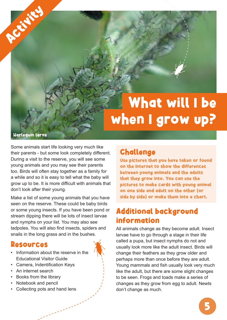## What will I be when I grow up?

Harlequin larva

**Activity** 

Some animals start life looking very much like their parents - but some look completely different. During a visit to the reserve, you will see some young animals and you may see their parents too. Birds will often stay together as a family for a while and so it is easy to tell what the baby will grow up to be. It is more difficult with animals that don't look after their young.

Make a list of some young animals that you have seen on the reserve. These could be baby birds or some young insects. If you have been pond or stream dipping there will be lots of insect larvae and nymphs on your list. You may also see tadpoles. You will also find insects, spiders and snails in the long grass and in the bushes.

#### Resources

- Information about the reserve in the Educational Visitor Guide
- Camera, Indentification Keys
- An internet search
- Books from the library
- Notebook and pencil
- Collecting pots and hand lens

### Challenge

Use pictures that you have taken or found on the Internet to show the differences between young animals and the adults that they grow into. You can use the pictures to make cards with young animal on one side and adult on the other (or side by side) or make them into a chart.

### Additional background information

All animals change as they become adult. Insect larvae have to go through a stage in their life called a pupa, but insect nymphs do not and usually look more like the adult insect. Birds will change their feathers as they grow older and perhaps more than once before they are adult. Young mammals and fish usually look very much like the adult, but there are some slight changes to be seen. Frogs and toads make a series of changes as they grow from egg to adult. Newts don't change as much.